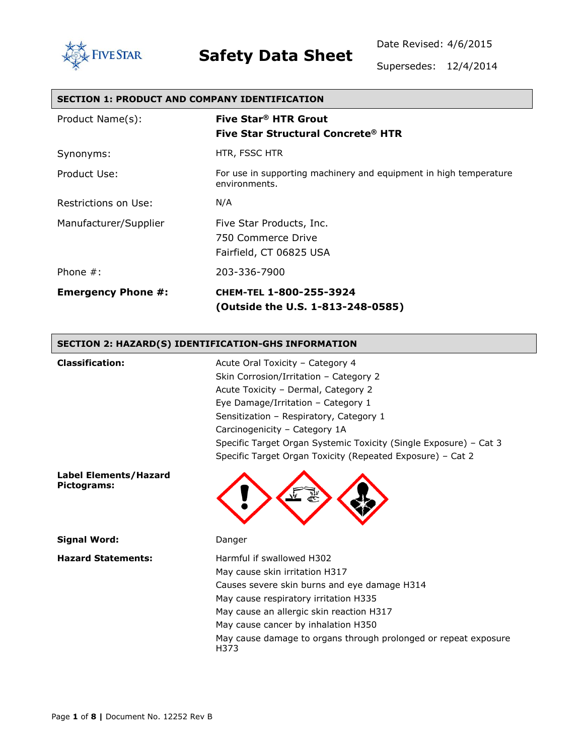

Date Revised: 4/6/2015

Supersedes: 12/4/2014

### **SECTION 1: PRODUCT AND COMPANY IDENTIFICATION**

| Product Name(s):          | Five Star <sup>®</sup> HTR Grout<br>Five Star Structural Concrete® HTR             |
|---------------------------|------------------------------------------------------------------------------------|
| Synonyms:                 | HTR, FSSC HTR                                                                      |
| Product Use:              | For use in supporting machinery and equipment in high temperature<br>environments. |
| Restrictions on Use:      | N/A                                                                                |
| Manufacturer/Supplier     | Five Star Products, Inc.<br>750 Commerce Drive<br>Fairfield, CT 06825 USA          |
| Phone $#$ :               | 203-336-7900                                                                       |
| <b>Emergency Phone #:</b> | CHEM-TEL 1-800-255-3924<br>(Outside the U.S. 1-813-248-0585)                       |

### **SECTION 2: HAZARD(S) IDENTIFICATION-GHS INFORMATION**

| <b>Classification:</b>                      | Acute Oral Toxicity - Category 4<br>Skin Corrosion/Irritation - Category 2<br>Acute Toxicity - Dermal, Category 2<br>Eye Damage/Irritation - Category 1<br>Sensitization - Respiratory, Category 1<br>Carcinogenicity - Category 1A<br>Specific Target Organ Systemic Toxicity (Single Exposure) – Cat 3<br>Specific Target Organ Toxicity (Repeated Exposure) - Cat 2 |
|---------------------------------------------|------------------------------------------------------------------------------------------------------------------------------------------------------------------------------------------------------------------------------------------------------------------------------------------------------------------------------------------------------------------------|
| <b>Label Elements/Hazard</b><br>Pictograms: |                                                                                                                                                                                                                                                                                                                                                                        |
| <b>Signal Word:</b>                         | Danger                                                                                                                                                                                                                                                                                                                                                                 |
| <b>Hazard Statements:</b>                   | Harmful if swallowed H302<br>May cause skin irritation H317<br>Causes severe skin burns and eye damage H314<br>May cause respiratory irritation H335<br>May cause an allergic skin reaction H317<br>May cause cancer by inhalation H350<br>May cause damage to organs through prolonged or repeat exposure                                                             |

H373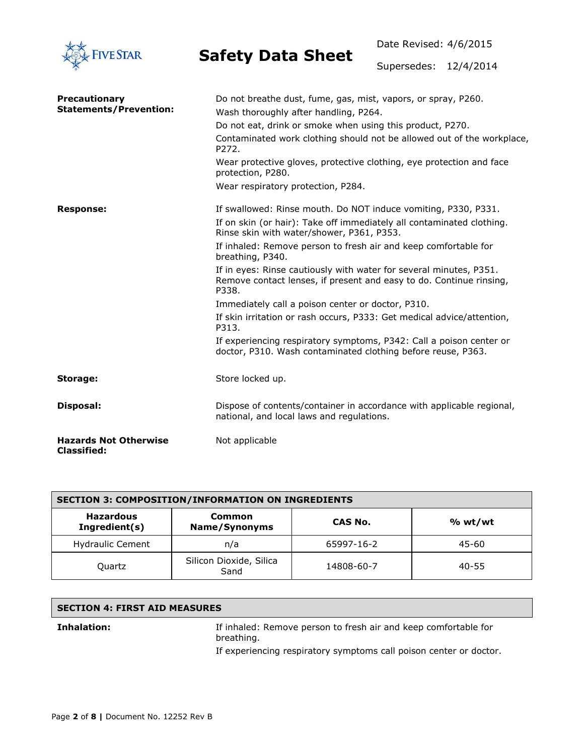

Date Revised: 4/6/2015

Supersedes: 12/4/2014

| <b>Precautionary</b><br><b>Statements/Prevention:</b> | Do not breathe dust, fume, gas, mist, vapors, or spray, P260.<br>Wash thoroughly after handling, P264.<br>Do not eat, drink or smoke when using this product, P270. |
|-------------------------------------------------------|---------------------------------------------------------------------------------------------------------------------------------------------------------------------|
|                                                       | Contaminated work clothing should not be allowed out of the workplace,<br>P272.                                                                                     |
|                                                       | Wear protective gloves, protective clothing, eye protection and face<br>protection, P280.                                                                           |
|                                                       | Wear respiratory protection, P284.                                                                                                                                  |
| <b>Response:</b>                                      | If swallowed: Rinse mouth. Do NOT induce vomiting, P330, P331.                                                                                                      |
|                                                       | If on skin (or hair): Take off immediately all contaminated clothing.<br>Rinse skin with water/shower, P361, P353.                                                  |
|                                                       | If inhaled: Remove person to fresh air and keep comfortable for<br>breathing, P340.                                                                                 |
|                                                       | If in eyes: Rinse cautiously with water for several minutes, P351.<br>Remove contact lenses, if present and easy to do. Continue rinsing,<br>P338.                  |
|                                                       | Immediately call a poison center or doctor, P310.                                                                                                                   |
|                                                       | If skin irritation or rash occurs, P333: Get medical advice/attention,<br>P313.                                                                                     |
|                                                       | If experiencing respiratory symptoms, P342: Call a poison center or<br>doctor, P310. Wash contaminated clothing before reuse, P363.                                 |
| Storage:                                              | Store locked up.                                                                                                                                                    |
| <b>Disposal:</b>                                      | Dispose of contents/container in accordance with applicable regional,<br>national, and local laws and regulations.                                                  |
| <b>Hazards Not Otherwise</b><br><b>Classified:</b>    | Not applicable                                                                                                                                                      |

| <b>SECTION 3: COMPOSITION/INFORMATION ON INGREDIENTS</b> |                                 |            |         |
|----------------------------------------------------------|---------------------------------|------------|---------|
| <b>Hazardous</b><br>Ingredient(s)                        | Common<br>Name/Synonyms         | CAS No.    | % wt/wt |
| <b>Hydraulic Cement</b>                                  | n/a                             | 65997-16-2 | 45-60   |
| Quartz                                                   | Silicon Dioxide, Silica<br>Sand | 14808-60-7 | 40-55   |

### **SECTION 4: FIRST AID MEASURES**

**Inhalation:** If inhaled: Remove person to fresh air and keep comfortable for breathing.

If experiencing respiratory symptoms call poison center or doctor.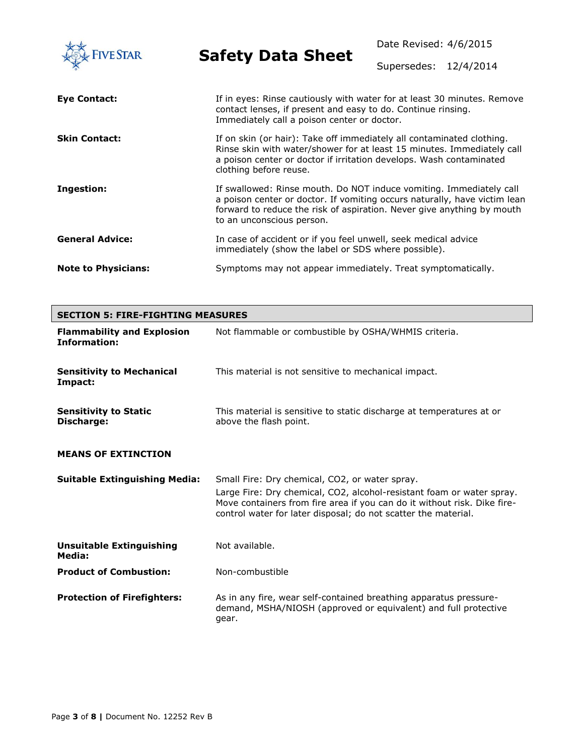| <b>FIVE STAR</b>           | <b>Safety Data Sheet</b>                                                                                                                                                                                                                                | Date Revised: 4/6/2015 |  |
|----------------------------|---------------------------------------------------------------------------------------------------------------------------------------------------------------------------------------------------------------------------------------------------------|------------------------|--|
|                            |                                                                                                                                                                                                                                                         | Supersedes: 12/4/2014  |  |
| Eye Contact:               | If in eyes: Rinse cautiously with water for at least 30 minutes. Remove<br>contact lenses, if present and easy to do. Continue rinsing.<br>Immediately call a poison center or doctor.                                                                  |                        |  |
| <b>Skin Contact:</b>       | If on skin (or hair): Take off immediately all contaminated clothing.<br>Rinse skin with water/shower for at least 15 minutes. Immediately call<br>a poison center or doctor if irritation develops. Wash contaminated<br>clothing before reuse.        |                        |  |
| Ingestion:                 | If swallowed: Rinse mouth. Do NOT induce vomiting. Immediately call<br>a poison center or doctor. If vomiting occurs naturally, have victim lean<br>forward to reduce the risk of aspiration. Never give anything by mouth<br>to an unconscious person. |                        |  |
| <b>General Advice:</b>     | In case of accident or if you feel unwell, seek medical advice<br>immediately (show the label or SDS where possible).                                                                                                                                   |                        |  |
| <b>Note to Physicians:</b> | Symptoms may not appear immediately. Treat symptomatically.                                                                                                                                                                                             |                        |  |

| <b>SECTION 5: FIRE-FIGHTING MEASURES</b>                 |                                                                                                                                                                                                                                                                       |  |
|----------------------------------------------------------|-----------------------------------------------------------------------------------------------------------------------------------------------------------------------------------------------------------------------------------------------------------------------|--|
| <b>Flammability and Explosion</b><br><b>Information:</b> | Not flammable or combustible by OSHA/WHMIS criteria.                                                                                                                                                                                                                  |  |
| <b>Sensitivity to Mechanical</b><br>Impact:              | This material is not sensitive to mechanical impact.                                                                                                                                                                                                                  |  |
| <b>Sensitivity to Static</b><br>Discharge:               | This material is sensitive to static discharge at temperatures at or<br>above the flash point.                                                                                                                                                                        |  |
| <b>MEANS OF EXTINCTION</b>                               |                                                                                                                                                                                                                                                                       |  |
| <b>Suitable Extinguishing Media:</b>                     | Small Fire: Dry chemical, CO2, or water spray.<br>Large Fire: Dry chemical, CO2, alcohol-resistant foam or water spray.<br>Move containers from fire area if you can do it without risk. Dike fire-<br>control water for later disposal; do not scatter the material. |  |
| <b>Unsuitable Extinguishing</b><br>Media:                | Not available.                                                                                                                                                                                                                                                        |  |
| <b>Product of Combustion:</b>                            | Non-combustible                                                                                                                                                                                                                                                       |  |
| <b>Protection of Firefighters:</b>                       | As in any fire, wear self-contained breathing apparatus pressure-<br>demand, MSHA/NIOSH (approved or equivalent) and full protective<br>gear.                                                                                                                         |  |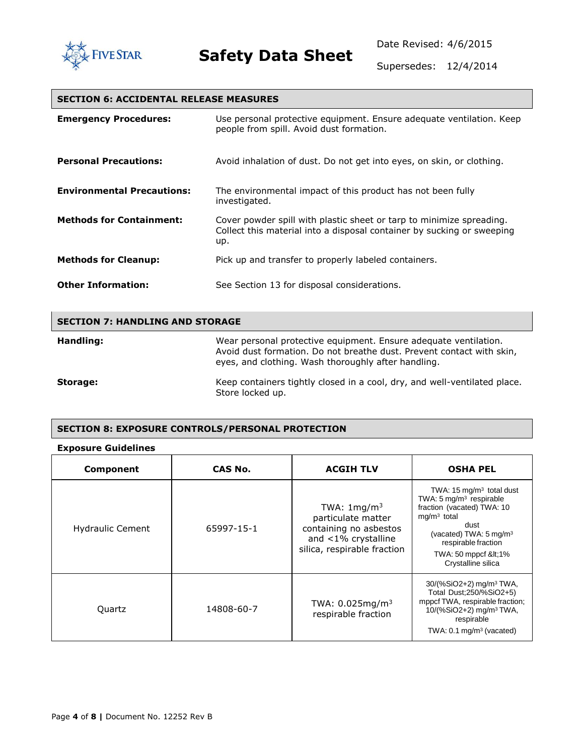

Date Revised: 4/6/2015

Supersedes: 12/4/2014

### **SECTION 6: ACCIDENTAL RELEASE MEASURES**

| <b>Emergency Procedures:</b>      | Use personal protective equipment. Ensure adequate ventilation. Keep<br>people from spill. Avoid dust formation.                                      |
|-----------------------------------|-------------------------------------------------------------------------------------------------------------------------------------------------------|
| <b>Personal Precautions:</b>      | Avoid inhalation of dust. Do not get into eyes, on skin, or clothing.                                                                                 |
| <b>Environmental Precautions:</b> | The environmental impact of this product has not been fully<br>investigated.                                                                          |
| <b>Methods for Containment:</b>   | Cover powder spill with plastic sheet or tarp to minimize spreading.<br>Collect this material into a disposal container by sucking or sweeping<br>up. |
| <b>Methods for Cleanup:</b>       | Pick up and transfer to properly labeled containers.                                                                                                  |
| <b>Other Information:</b>         | See Section 13 for disposal considerations.                                                                                                           |

| <b>SECTION 7: HANDLING AND STORAGE</b> |                                                                                                                                                                                                  |  |
|----------------------------------------|--------------------------------------------------------------------------------------------------------------------------------------------------------------------------------------------------|--|
| Handling:                              | Wear personal protective equipment. Ensure adequate ventilation.<br>Avoid dust formation. Do not breathe dust. Prevent contact with skin,<br>eyes, and clothing. Wash thoroughly after handling. |  |
| Storage:                               | Keep containers tightly closed in a cool, dry, and well-ventilated place.<br>Store locked up.                                                                                                    |  |

#### **SECTION 8: EXPOSURE CONTROLS/PERSONAL PROTECTION**

#### **Exposure Guidelines**

| Component               | CAS No.    | <b>ACGIH TLV</b>                                                                                                             | <b>OSHA PEL</b>                                                                                                                                                                                                                          |
|-------------------------|------------|------------------------------------------------------------------------------------------------------------------------------|------------------------------------------------------------------------------------------------------------------------------------------------------------------------------------------------------------------------------------------|
| <b>Hydraulic Cement</b> | 65997-15-1 | TWA: $1 \text{mg/m}^3$<br>particulate matter<br>containing no asbestos<br>and <1% crystalline<br>silica, respirable fraction | TWA: $15 \text{ mg/m}^3$ total dust<br>TWA: 5 mg/m <sup>3</sup> respirable<br>fraction (vacated) TWA: 10<br>$mg/m3$ total<br>dust<br>(vacated) TWA: $5 \text{ mg/m}^3$<br>respirable fraction<br>TWA: 50 mppcf <1%<br>Crystalline silica |
| Quartz                  | 14808-60-7 | TWA: $0.025mg/m3$<br>respirable fraction                                                                                     | 30/(%SiO2+2) mg/m <sup>3</sup> TWA,<br>Total Dust; 250/% SiO2+5)<br>mppcf TWA, respirable fraction;<br>10/(%SiO2+2) mg/m <sup>3</sup> TWA,<br>respirable<br>TWA: $0.1 \text{ mg/m}^3$ (vacated)                                          |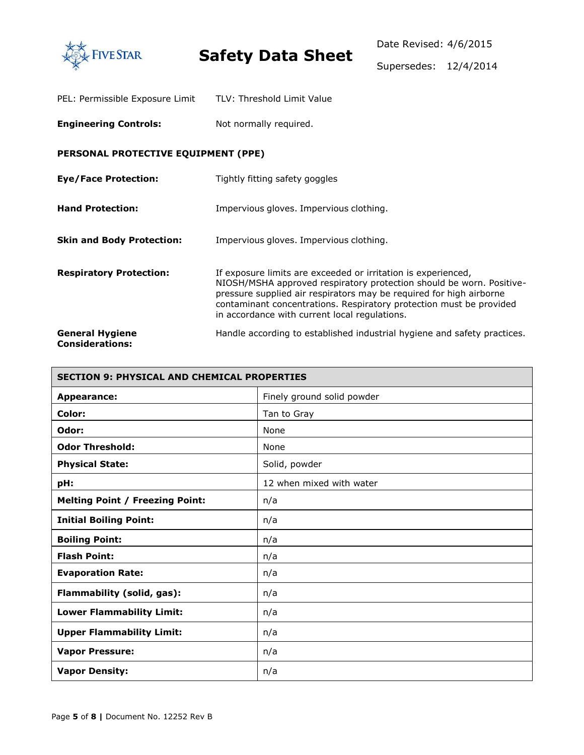

| PEL: Permissible Exposure Limit | TLV: Threshold Limit Value |
|---------------------------------|----------------------------|
|---------------------------------|----------------------------|

**Engineering Controls:** Not normally required.

### **PERSONAL PROTECTIVE EQUIPMENT (PPE)**

| <b>Eye/Face Protection:</b>                      | Tightly fitting safety goggles                                                                                                                                                                                                                                                                                                       |
|--------------------------------------------------|--------------------------------------------------------------------------------------------------------------------------------------------------------------------------------------------------------------------------------------------------------------------------------------------------------------------------------------|
| <b>Hand Protection:</b>                          | Impervious gloves. Impervious clothing.                                                                                                                                                                                                                                                                                              |
| <b>Skin and Body Protection:</b>                 | Impervious gloves. Impervious clothing.                                                                                                                                                                                                                                                                                              |
| <b>Respiratory Protection:</b>                   | If exposure limits are exceeded or irritation is experienced,<br>NIOSH/MSHA approved respiratory protection should be worn. Positive-<br>pressure supplied air respirators may be required for high airborne<br>contaminant concentrations. Respiratory protection must be provided<br>in accordance with current local regulations. |
| <b>General Hygiene</b><br><b>Considerations:</b> | Handle according to established industrial hygiene and safety practices.                                                                                                                                                                                                                                                             |

| <b>SECTION 9: PHYSICAL AND CHEMICAL PROPERTIES</b> |                            |  |
|----------------------------------------------------|----------------------------|--|
| <b>Appearance:</b>                                 | Finely ground solid powder |  |
| Color:                                             | Tan to Gray                |  |
| Odor:                                              | None                       |  |
| <b>Odor Threshold:</b>                             | None                       |  |
| <b>Physical State:</b>                             | Solid, powder              |  |
| pH:                                                | 12 when mixed with water   |  |
| <b>Melting Point / Freezing Point:</b>             | n/a                        |  |
| <b>Initial Boiling Point:</b>                      | n/a                        |  |
| <b>Boiling Point:</b>                              | n/a                        |  |
| <b>Flash Point:</b>                                | n/a                        |  |
| <b>Evaporation Rate:</b>                           | n/a                        |  |
| Flammability (solid, gas):                         | n/a                        |  |
| <b>Lower Flammability Limit:</b>                   | n/a                        |  |
| <b>Upper Flammability Limit:</b>                   | n/a                        |  |
| <b>Vapor Pressure:</b>                             | n/a                        |  |
| <b>Vapor Density:</b>                              | n/a                        |  |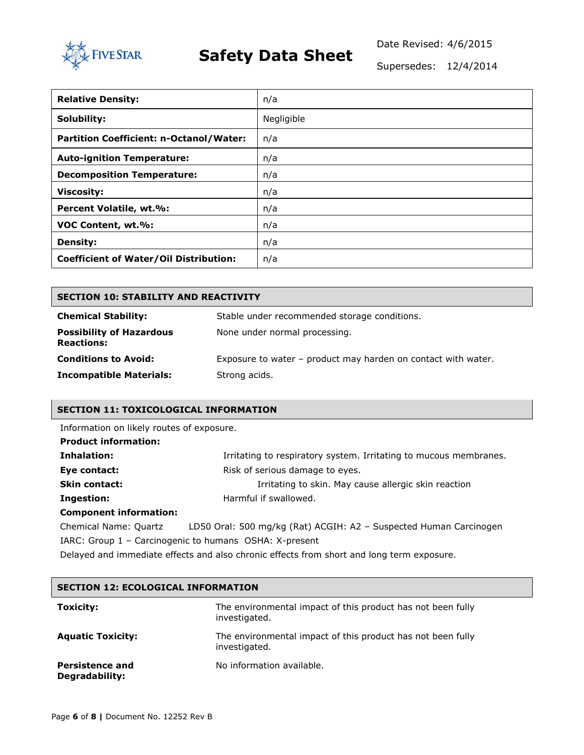

Date Revised: 4/6/2015

Supersedes: 12/4/2014

| <b>Relative Density:</b>                       | n/a        |
|------------------------------------------------|------------|
| Solubility:                                    | Negligible |
| <b>Partition Coefficient: n-Octanol/Water:</b> | n/a        |
| <b>Auto-ignition Temperature:</b>              | n/a        |
| <b>Decomposition Temperature:</b>              | n/a        |
| <b>Viscosity:</b>                              | n/a        |
| Percent Volatile, wt.%:                        | n/a        |
| VOC Content, wt.%:                             | n/a        |
| <b>Density:</b>                                | n/a        |
| <b>Coefficient of Water/Oil Distribution:</b>  | n/a        |

| <b>SECTION 10: STABILITY AND REACTIVITY</b>          |                                                               |  |  |
|------------------------------------------------------|---------------------------------------------------------------|--|--|
| <b>Chemical Stability:</b>                           | Stable under recommended storage conditions.                  |  |  |
| <b>Possibility of Hazardous</b><br><b>Reactions:</b> | None under normal processing.                                 |  |  |
| <b>Conditions to Avoid:</b>                          | Exposure to water - product may harden on contact with water. |  |  |
| <b>Incompatible Materials:</b>                       | Strong acids.                                                 |  |  |

### **SECTION 11: TOXICOLOGICAL INFORMATION**

Information on likely routes of exposure.

| <b>Product information:</b>   |                                                                   |
|-------------------------------|-------------------------------------------------------------------|
| Inhalation:                   | Irritating to respiratory system. Irritating to mucous membranes. |
| Eye contact:                  | Risk of serious damage to eyes.                                   |
| <b>Skin contact:</b>          | Irritating to skin. May cause allergic skin reaction              |
| Ingestion:                    | Harmful if swallowed.                                             |
| <b>Component information:</b> |                                                                   |

Chemical Name: Quartz LD50 Oral: 500 mg/kg (Rat) ACGIH: A2 – Suspected Human Carcinogen IARC: Group 1 – Carcinogenic to humans OSHA: X-present Delayed and immediate effects and also chronic effects from short and long term exposure.

| <b>SECTION 12: ECOLOGICAL INFORMATION</b> |                                                                              |  |  |
|-------------------------------------------|------------------------------------------------------------------------------|--|--|
| <b>Toxicity:</b>                          | The environmental impact of this product has not been fully<br>investigated. |  |  |
| <b>Aquatic Toxicity:</b>                  | The environmental impact of this product has not been fully<br>investigated. |  |  |
| <b>Persistence and</b><br>Degradability:  | No information available.                                                    |  |  |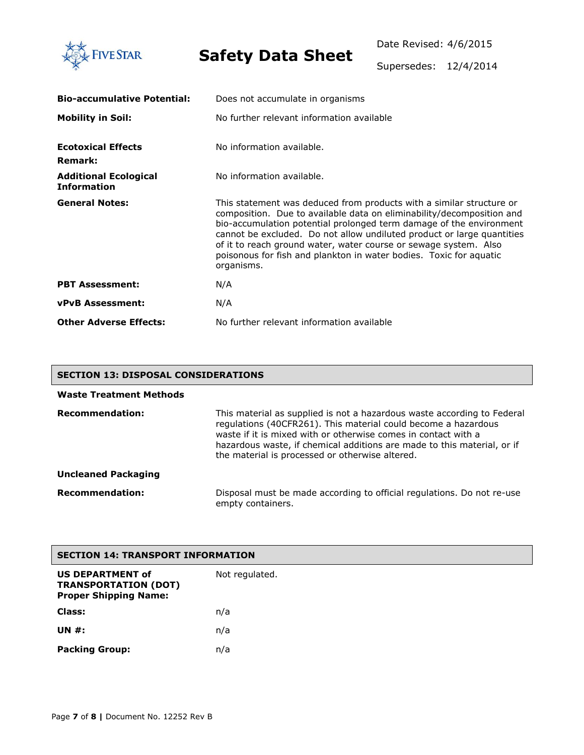

Date Revised: 4/6/2015

Supersedes: 12/4/2014

| <b>Bio-accumulative Potential:</b>                 | Does not accumulate in organisms                                                                                                                                                                                                                                                                                                                                                                                                                       |  |  |  |  |
|----------------------------------------------------|--------------------------------------------------------------------------------------------------------------------------------------------------------------------------------------------------------------------------------------------------------------------------------------------------------------------------------------------------------------------------------------------------------------------------------------------------------|--|--|--|--|
| <b>Mobility in Soil:</b>                           | No further relevant information available                                                                                                                                                                                                                                                                                                                                                                                                              |  |  |  |  |
| <b>Ecotoxical Effects</b><br><b>Remark:</b>        | No information available.                                                                                                                                                                                                                                                                                                                                                                                                                              |  |  |  |  |
| <b>Additional Ecological</b><br><b>Information</b> | No information available.                                                                                                                                                                                                                                                                                                                                                                                                                              |  |  |  |  |
| <b>General Notes:</b>                              | This statement was deduced from products with a similar structure or<br>composition. Due to available data on eliminability/decomposition and<br>bio-accumulation potential prolonged term damage of the environment<br>cannot be excluded. Do not allow undiluted product or large quantities<br>of it to reach ground water, water course or sewage system. Also<br>poisonous for fish and plankton in water bodies. Toxic for aquatic<br>organisms. |  |  |  |  |
| <b>PBT Assessment:</b>                             | N/A                                                                                                                                                                                                                                                                                                                                                                                                                                                    |  |  |  |  |
| <b>vPvB Assessment:</b>                            | N/A                                                                                                                                                                                                                                                                                                                                                                                                                                                    |  |  |  |  |
| <b>Other Adverse Effects:</b>                      | No further relevant information available                                                                                                                                                                                                                                                                                                                                                                                                              |  |  |  |  |

### **SECTION 13: DISPOSAL CONSIDERATIONS**

| <b>Waste Treatment Methods</b> |                                                                                                                                                                                                                                                                                                                                           |
|--------------------------------|-------------------------------------------------------------------------------------------------------------------------------------------------------------------------------------------------------------------------------------------------------------------------------------------------------------------------------------------|
| <b>Recommendation:</b>         | This material as supplied is not a hazardous waste according to Federal<br>regulations (40CFR261). This material could become a hazardous<br>waste if it is mixed with or otherwise comes in contact with a<br>hazardous waste, if chemical additions are made to this material, or if<br>the material is processed or otherwise altered. |
| <b>Uncleaned Packaging</b>     |                                                                                                                                                                                                                                                                                                                                           |
| <b>Recommendation:</b>         | Disposal must be made according to official regulations. Do not re-use<br>empty containers.                                                                                                                                                                                                                                               |

| <b>SECTION 14: TRANSPORT INFORMATION</b>                                               |                |  |  |
|----------------------------------------------------------------------------------------|----------------|--|--|
| <b>US DEPARTMENT of</b><br><b>TRANSPORTATION (DOT)</b><br><b>Proper Shipping Name:</b> | Not regulated. |  |  |
| Class:                                                                                 | n/a            |  |  |
| <b>UN #:</b>                                                                           | n/a            |  |  |
| <b>Packing Group:</b>                                                                  | n/a            |  |  |